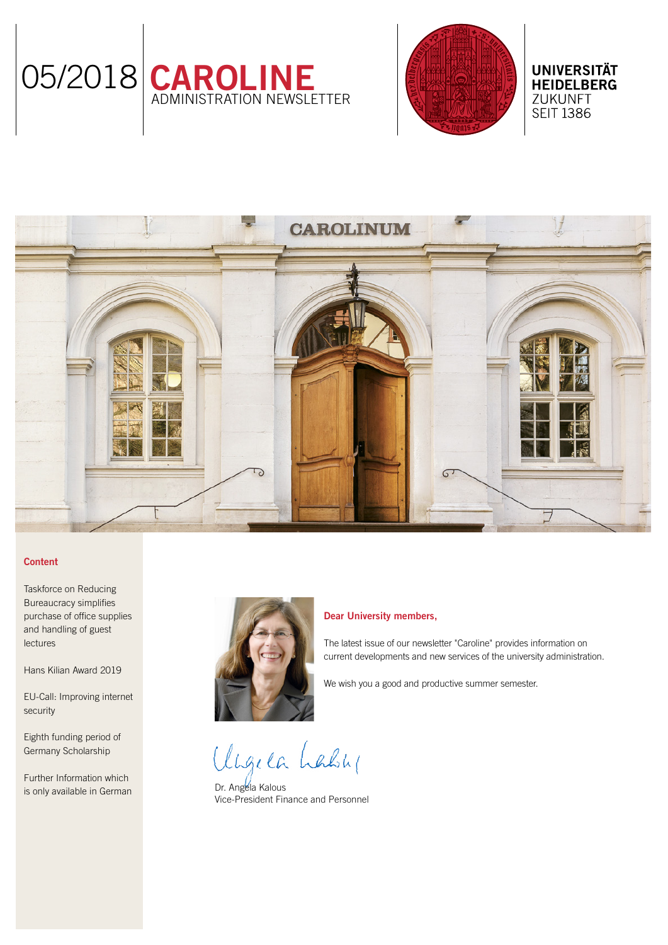



**UNIVERSITÄT HEIDELBERG** ZUKUNFT **SEIT 1386** 

# **CAROLINUM**

## Content

[Taskforce on Reducing](#page-1-0)  [Bureaucracy simplifies](#page-1-0)  [purchase of office supplies](#page-1-0)  [and handling of guest](#page-1-0)  [lectures](#page-1-0)

[Hans Kilian Award 2019](#page-1-0)

[EU-Call: Improving internet](#page-1-0)  [security](#page-1-0)

[Eighth funding period of](#page-2-0)  [Germany Scholarship](#page-2-0) 

[Further Information which](#page-2-0)  [is only available in German](#page-2-0)



### Dear University members,

The latest issue of our newsletter "Caroline" provides information on current developments and new services of the university administration.

We wish you a good and productive summer semester.

Ungela Lably

Dr. Angela Kalous Vice-President Finance and Personnel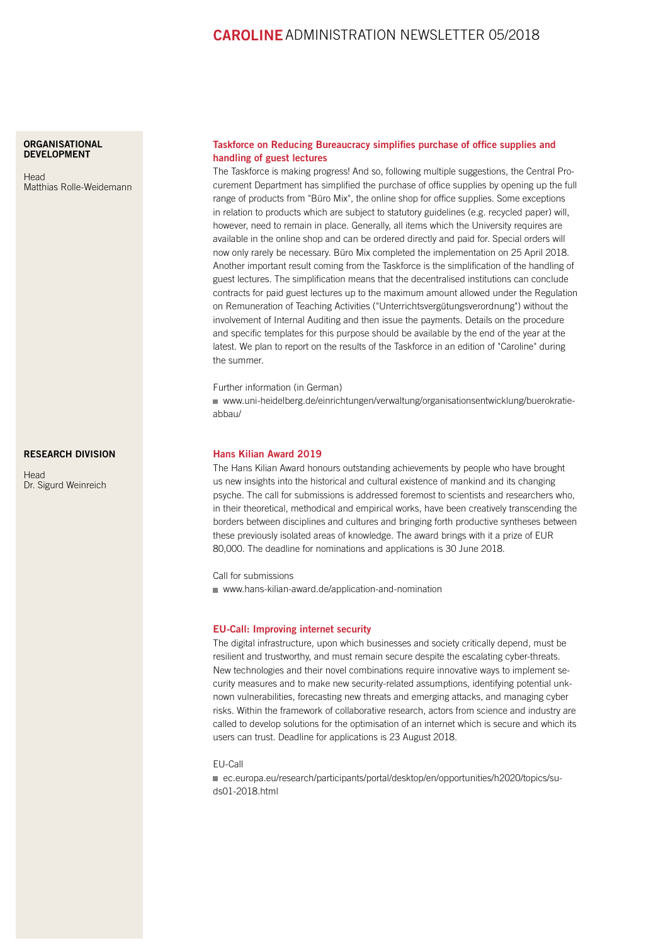# CAROLINEADMINISTRATION NEWSLETTER 05/2018

### <span id="page-1-0"></span>**ORGANISATIONAL** [DEVELOPMENT](http://www.uni-heidelberg.de/einrichtungen/verwaltung/organisationsentwicklung/buerokratieabbau/index.html)

**[Head](http://www.uni-heidelberg.de/einrichtungen/verwaltung/organisationsentwicklung/buerokratieabbau/index.html)** [Matthias Rolle-Weidemann](http://www.uni-heidelberg.de/einrichtungen/verwaltung/organisationsentwicklung/buerokratieabbau/index.html)

### [RESEARCH DIVISION](http://www.uni-heidelberg.de/institutions/administration/research/index.html)

**[Head](http://www.uni-heidelberg.de/institutions/administration/research/index.html)** [Dr. Sigurd Weinreich](http://www.uni-heidelberg.de/institutions/administration/research/index.html)

### Taskforce on Reducing Bureaucracy simplifies purchase of office supplies and handling of guest lectures

The Taskforce is making progress! And so, following multiple suggestions, the Central Procurement Department has simplified the purchase of office supplies by opening up the full range of products from "Büro Mix", the online shop for office supplies. Some exceptions in relation to products which are subject to statutory guidelines (e.g. recycled paper) will, however, need to remain in place. Generally, all items which the University requires are available in the online shop and can be ordered directly and paid for. Special orders will now only rarely be necessary. Büro Mix completed the implementation on 25 April 2018. Another important result coming from the Taskforce is the simplification of the handling of guest lectures. The simplification means that the decentralised institutions can conclude contracts for paid guest lectures up to the maximum amount allowed under the Regulation on Remuneration of Teaching Activities ("Unterrichtsvergütungsverordnung") without the involvement of Internal Auditing and then issue the payments. Details on the procedure and specific templates for this purpose should be available by the end of the year at the latest. We plan to report on the results of the Taskforce in an edition of "Caroline" during the summer.

Further information (in German)

 [www.uni-heidelberg.de/einrichtungen/verwaltung/organisationsentwicklung/buerokratie](http://www.uni-heidelberg.de/einrichtungen/verwaltung/organisationsentwicklung/buerokratieabbau/)[abbau/](http://www.uni-heidelberg.de/einrichtungen/verwaltung/organisationsentwicklung/buerokratieabbau/)

### Hans Kilian Award 2019

The Hans Kilian Award honours outstanding achievements by people who have brought us new insights into the historical and cultural existence of mankind and its changing psyche. The call for submissions is addressed foremost to scientists and researchers who, in their theoretical, methodical and empirical works, have been creatively transcending the borders between disciplines and cultures and bringing forth productive syntheses between these previously isolated areas of knowledge. The award brings with it a prize of EUR 80,000. The deadline for nominations and applications is 30 June 2018.

Call for submissions [www.hans-kilian-award.de/application-and-nomination](http://www.hans-kilian-award.de/application-and-nomination)

### EU-Call: Improving internet security

The digital infrastructure, upon which businesses and society critically depend, must be resilient and trustworthy, and must remain secure despite the escalating cyber-threats. New technologies and their novel combinations require innovative ways to implement security measures and to make new security-related assumptions, identifying potential unknown vulnerabilities, forecasting new threats and emerging attacks, and managing cyber risks. Within the framework of collaborative research, actors from science and industry are called to develop solutions for the optimisation of an internet which is secure and which its users can trust. Deadline for applications is 23 August 2018.

EU-Call

■ [ec.europa.eu/research/participants/portal/desktop/en/opportunities/h2020/topics/su](http://ec.europa.eu/research/participants/portal/desktop/en/opportunities/h2020/topics/su-ds01-2018.html)[ds01-2018.html](http://ec.europa.eu/research/participants/portal/desktop/en/opportunities/h2020/topics/su-ds01-2018.html)